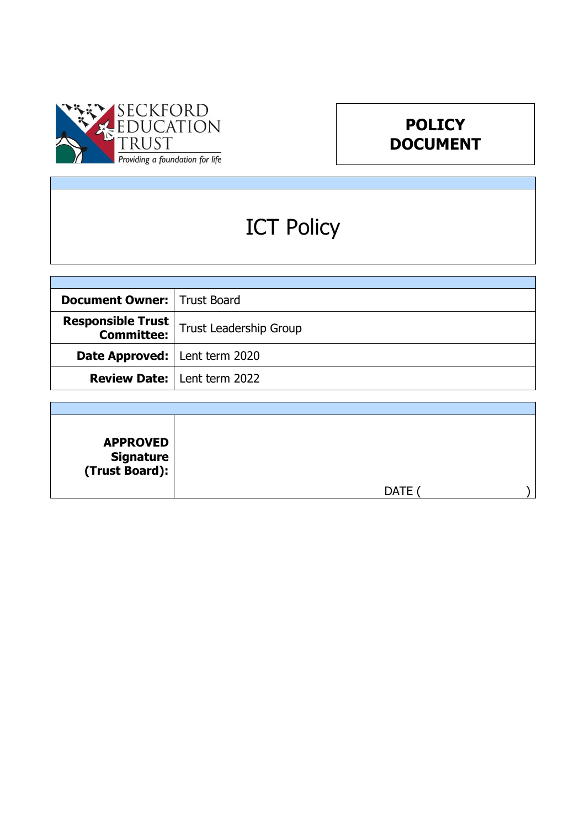



# ICT Policy

| <b>Document Owner:   Trust Board</b>   |                                    |
|----------------------------------------|------------------------------------|
| <b>Responsible Trust</b>               | Trust Leadership Group             |
| <b>Date Approved:</b>   Lent term 2020 |                                    |
|                                        | <b>Review Date:</b> Lent term 2022 |

| <b>APPROVED</b><br><b>Signature</b><br>(Trust Board): $ $ |             |  |
|-----------------------------------------------------------|-------------|--|
|                                                           | <b>DATE</b> |  |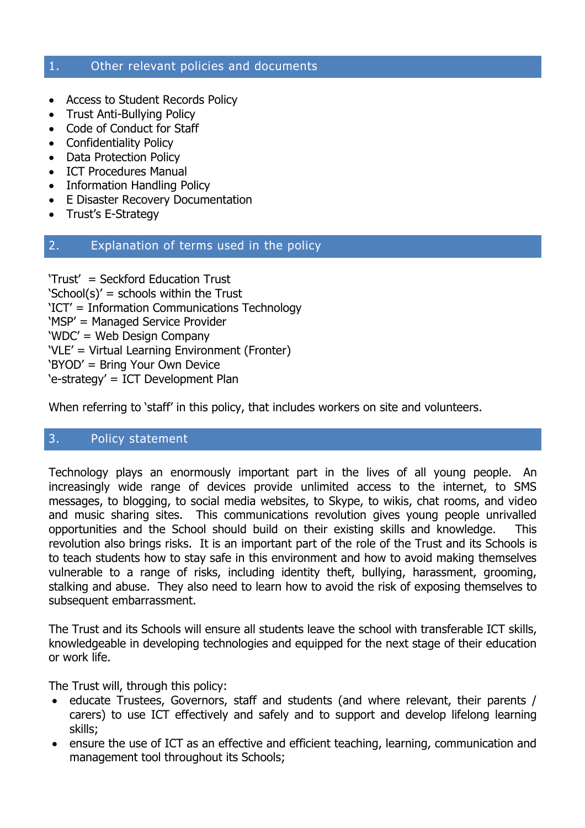#### 1. Other relevant policies and documents

- Access to Student Records Policy
- Trust Anti-Bullying Policy
- Code of Conduct for Staff
- Confidentiality Policy
- Data Protection Policy
- ICT Procedures Manual
- Information Handling Policy
- E Disaster Recovery Documentation
- Trust's E-Strategy

#### 2. Explanation of terms used in the policy

'Trust' = Seckford Education Trust 'School(s)' = schools within the Trust 'ICT' = Information Communications Technology 'MSP' = Managed Service Provider 'WDC' = Web Design Company 'VLE' = Virtual Learning Environment (Fronter) 'BYOD' = Bring Your Own Device 'e-strategy' = ICT Development Plan

When referring to 'staff' in this policy, that includes workers on site and volunteers.

# 3. Policy statement

Technology plays an enormously important part in the lives of all young people. An increasingly wide range of devices provide unlimited access to the internet, to SMS messages, to blogging, to social media websites, to Skype, to wikis, chat rooms, and video and music sharing sites. This communications revolution gives young people unrivalled opportunities and the School should build on their existing skills and knowledge. This revolution also brings risks. It is an important part of the role of the Trust and its Schools is to teach students how to stay safe in this environment and how to avoid making themselves vulnerable to a range of risks, including identity theft, bullying, harassment, grooming, stalking and abuse. They also need to learn how to avoid the risk of exposing themselves to subsequent embarrassment.

The Trust and its Schools will ensure all students leave the school with transferable ICT skills, knowledgeable in developing technologies and equipped for the next stage of their education or work life.

The Trust will, through this policy:

- educate Trustees, Governors, staff and students (and where relevant, their parents / carers) to use ICT effectively and safely and to support and develop lifelong learning skills;
- ensure the use of ICT as an effective and efficient teaching, learning, communication and management tool throughout its Schools;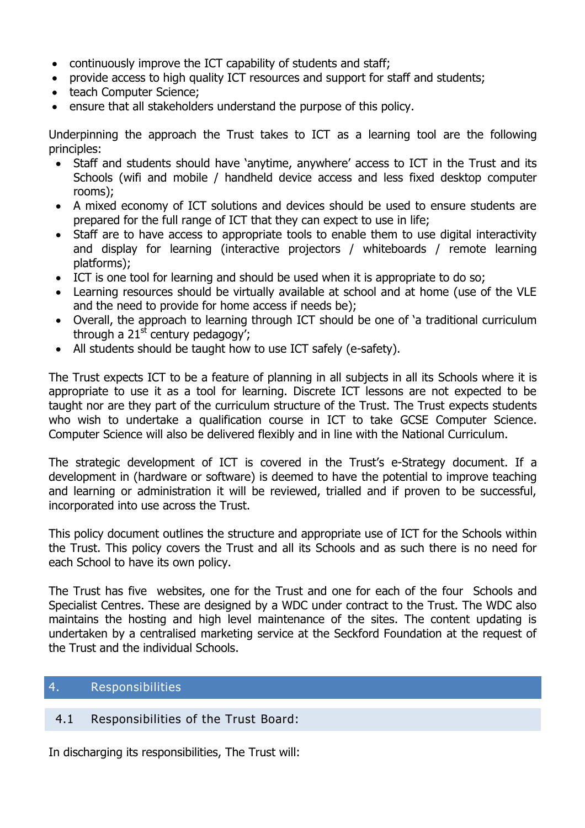- continuously improve the ICT capability of students and staff;
- provide access to high quality ICT resources and support for staff and students;
- teach Computer Science;
- ensure that all stakeholders understand the purpose of this policy.

Underpinning the approach the Trust takes to ICT as a learning tool are the following principles:

- Staff and students should have 'anytime, anywhere' access to ICT in the Trust and its Schools (wifi and mobile / handheld device access and less fixed desktop computer rooms);
- A mixed economy of ICT solutions and devices should be used to ensure students are prepared for the full range of ICT that they can expect to use in life;
- Staff are to have access to appropriate tools to enable them to use digital interactivity and display for learning (interactive projectors / whiteboards / remote learning platforms);
- ICT is one tool for learning and should be used when it is appropriate to do so;
- Learning resources should be virtually available at school and at home (use of the VLE and the need to provide for home access if needs be);
- Overall, the approach to learning through ICT should be one of 'a traditional curriculum through a  $21<sup>st</sup>$  century pedagogy';
- All students should be taught how to use ICT safely (e-safety).

The Trust expects ICT to be a feature of planning in all subjects in all its Schools where it is appropriate to use it as a tool for learning. Discrete ICT lessons are not expected to be taught nor are they part of the curriculum structure of the Trust. The Trust expects students who wish to undertake a qualification course in ICT to take GCSE Computer Science. Computer Science will also be delivered flexibly and in line with the National Curriculum.

The strategic development of ICT is covered in the Trust's e-Strategy document. If a development in (hardware or software) is deemed to have the potential to improve teaching and learning or administration it will be reviewed, trialled and if proven to be successful, incorporated into use across the Trust.

This policy document outlines the structure and appropriate use of ICT for the Schools within the Trust. This policy covers the Trust and all its Schools and as such there is no need for each School to have its own policy.

The Trust has five websites, one for the Trust and one for each of the four Schools and Specialist Centres. These are designed by a WDC under contract to the Trust. The WDC also maintains the hosting and high level maintenance of the sites. The content updating is undertaken by a centralised marketing service at the Seckford Foundation at the request of the Trust and the individual Schools.

# 4. Responsibilities

# 4.1 Responsibilities of the Trust Board:

In discharging its responsibilities, The Trust will: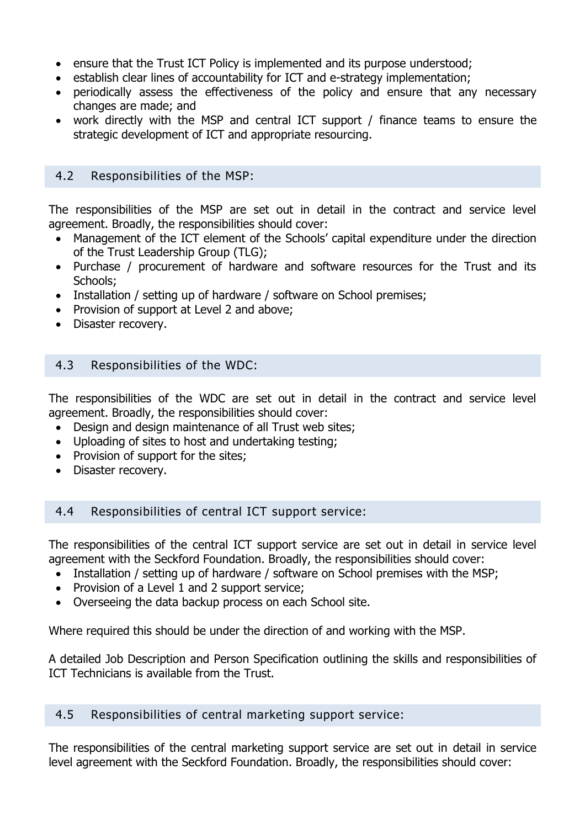- ensure that the Trust ICT Policy is implemented and its purpose understood;
- establish clear lines of accountability for ICT and e-strategy implementation;
- periodically assess the effectiveness of the policy and ensure that any necessary changes are made; and
- work directly with the MSP and central ICT support / finance teams to ensure the strategic development of ICT and appropriate resourcing.

#### 4.2 Responsibilities of the MSP:

The responsibilities of the MSP are set out in detail in the contract and service level agreement. Broadly, the responsibilities should cover:

- Management of the ICT element of the Schools' capital expenditure under the direction of the Trust Leadership Group (TLG);
- Purchase / procurement of hardware and software resources for the Trust and its Schools;
- Installation / setting up of hardware / software on School premises;
- Provision of support at Level 2 and above;
- Disaster recovery.

# 4.3 Responsibilities of the WDC:

The responsibilities of the WDC are set out in detail in the contract and service level agreement. Broadly, the responsibilities should cover:

- Design and design maintenance of all Trust web sites;
- Uploading of sites to host and undertaking testing;
- Provision of support for the sites;
- Disaster recovery.

# 4.4 Responsibilities of central ICT support service:

The responsibilities of the central ICT support service are set out in detail in service level agreement with the Seckford Foundation. Broadly, the responsibilities should cover:

- Installation / setting up of hardware / software on School premises with the MSP;
- Provision of a Level 1 and 2 support service;
- Overseeing the data backup process on each School site.

Where required this should be under the direction of and working with the MSP.

A detailed Job Description and Person Specification outlining the skills and responsibilities of ICT Technicians is available from the Trust.

# 4.5 Responsibilities of central marketing support service:

The responsibilities of the central marketing support service are set out in detail in service level agreement with the Seckford Foundation. Broadly, the responsibilities should cover: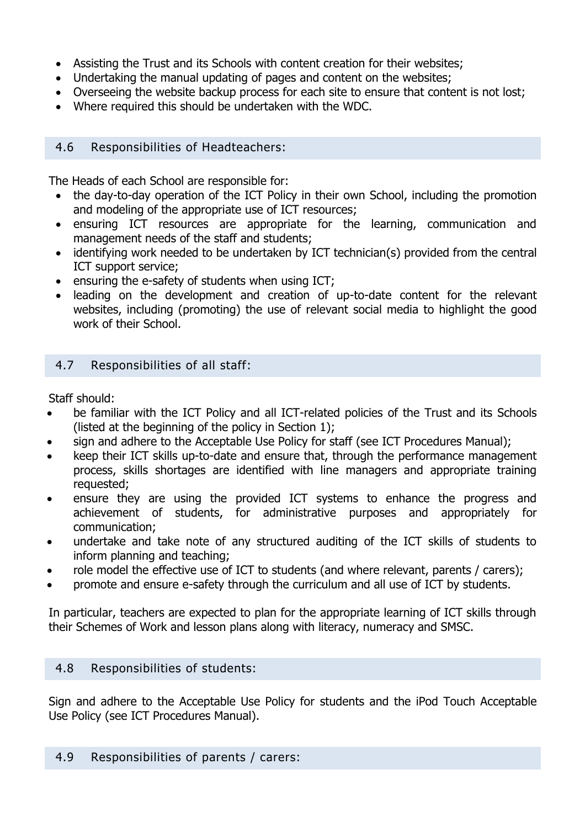- Assisting the Trust and its Schools with content creation for their websites;
- Undertaking the manual updating of pages and content on the websites;
- Overseeing the website backup process for each site to ensure that content is not lost;
- Where required this should be undertaken with the WDC.

# 4.6 Responsibilities of Headteachers:

The Heads of each School are responsible for:

- the day-to-day operation of the ICT Policy in their own School, including the promotion and modeling of the appropriate use of ICT resources;
- ensuring ICT resources are appropriate for the learning, communication and management needs of the staff and students;
- identifying work needed to be undertaken by ICT technician(s) provided from the central ICT support service;
- ensuring the e-safety of students when using ICT;
- leading on the development and creation of up-to-date content for the relevant websites, including (promoting) the use of relevant social media to highlight the good work of their School.

# 4.7 Responsibilities of all staff:

Staff should:

- be familiar with the ICT Policy and all ICT-related policies of the Trust and its Schools (listed at the beginning of the policy in Section 1);
- sign and adhere to the Acceptable Use Policy for staff (see ICT Procedures Manual);
- keep their ICT skills up-to-date and ensure that, through the performance management process, skills shortages are identified with line managers and appropriate training requested;
- ensure they are using the provided ICT systems to enhance the progress and achievement of students, for administrative purposes and appropriately for communication;
- undertake and take note of any structured auditing of the ICT skills of students to inform planning and teaching;
- role model the effective use of ICT to students (and where relevant, parents / carers);
- promote and ensure e-safety through the curriculum and all use of ICT by students.

In particular, teachers are expected to plan for the appropriate learning of ICT skills through their Schemes of Work and lesson plans along with literacy, numeracy and SMSC.

# 4.8 Responsibilities of students:

Sign and adhere to the Acceptable Use Policy for students and the iPod Touch Acceptable Use Policy (see ICT Procedures Manual).

#### 4.9 Responsibilities of parents / carers: